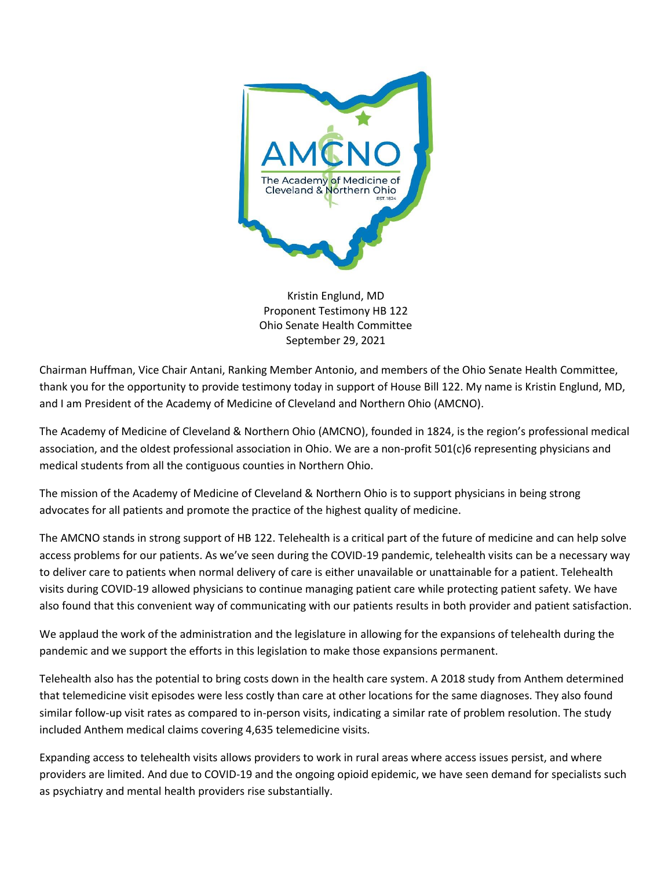

Kristin Englund, MD Proponent Testimony HB 122 Ohio Senate Health Committee September 29, 2021

Chairman Huffman, Vice Chair Antani, Ranking Member Antonio, and members of the Ohio Senate Health Committee, thank you for the opportunity to provide testimony today in support of House Bill 122. My name is Kristin Englund, MD, and I am President of the Academy of Medicine of Cleveland and Northern Ohio (AMCNO).

The Academy of Medicine of Cleveland & Northern Ohio (AMCNO), founded in 1824, is the region's professional medical association, and the oldest professional association in Ohio. We are a non-profit 501(c)6 representing physicians and medical students from all the contiguous counties in Northern Ohio.

The mission of the Academy of Medicine of Cleveland & Northern Ohio is to support physicians in being strong advocates for all patients and promote the practice of the highest quality of medicine.

The AMCNO stands in strong support of HB 122. Telehealth is a critical part of the future of medicine and can help solve access problems for our patients. As we've seen during the COVID-19 pandemic, telehealth visits can be a necessary way to deliver care to patients when normal delivery of care is either unavailable or unattainable for a patient. Telehealth visits during COVID-19 allowed physicians to continue managing patient care while protecting patient safety. We have also found that this convenient way of communicating with our patients results in both provider and patient satisfaction.

We applaud the work of the administration and the legislature in allowing for the expansions of telehealth during the pandemic and we support the efforts in this legislation to make those expansions permanent.

Telehealth also has the potential to bring costs down in the health care system. A 2018 study from Anthem determined that telemedicine visit episodes were less costly than care at other locations for the same diagnoses. They also found similar follow-up visit rates as compared to in-person visits, indicating a similar rate of problem resolution. The study included Anthem medical claims covering 4,635 telemedicine visits.

Expanding access to telehealth visits allows providers to work in rural areas where access issues persist, and where providers are limited. And due to COVID-19 and the ongoing opioid epidemic, we have seen demand for specialists such as psychiatry and mental health providers rise substantially.